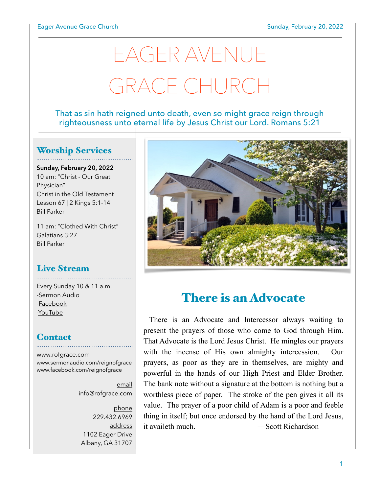# EAGER AVENUE GRACE CHURCH

#### That as sin hath reigned unto death, even so might grace reign through righteousness unto eternal life by Jesus Christ our Lord. Romans 5:21

### Worship Services

**Sunday, February 20, 2022** 10 am: "Christ - Our Great Physician" Christ in the Old Testament Lesson 67 | 2 Kings 5:1-14 Bill Parker

11 am: "Clothed With Christ" Galatians 3:27 Bill Parker

#### Live Stream

Every Sunday 10 & 11 a.m. [-Sermon Audio](http://sermonaudio.com/reignofgrace) [-Facebook](http://facebook.com/eageravechurch) [-YouTube](http://youtube.com/channel/UCu_lTHCIUOK0cka9AjFV_5Q/live)

#### **Contact**

[www.rofgrace.com](http://www.rofgrace.com) [www.sermonaudio.com/reignofgrace](http://www.sermonaudio.com/reignofgrace) [www.facebook.com/reignofgrace](http://www.facebook.com/reignofgrace)

> email [info@rofgrace.com](mailto:info@rofgrace.com?subject=)

phone 229.432.6969 address 1102 Eager Drive Albany, GA 31707



# There is an Advocate

There is an Advocate and Intercessor always waiting to present the prayers of those who come to God through Him. That Advocate is the Lord Jesus Christ. He mingles our prayers with the incense of His own almighty intercession. Our prayers, as poor as they are in themselves, are mighty and powerful in the hands of our High Priest and Elder Brother. The bank note without a signature at the bottom is nothing but a worthless piece of paper. The stroke of the pen gives it all its value. The prayer of a poor child of Adam is a poor and feeble thing in itself; but once endorsed by the hand of the Lord Jesus, it availeth much. —Scott Richardson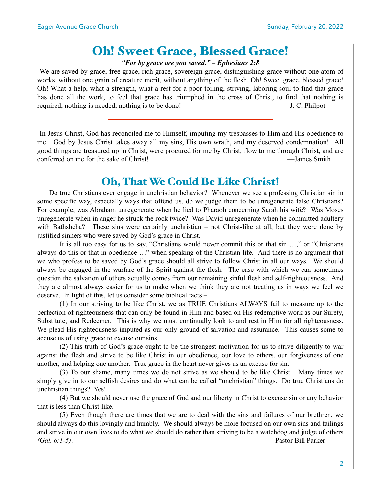## Oh! Sweet Grace, Blessed Grace!

*"For by grace are you saved." – Ephesians 2:8*

We are saved by grace, free grace, rich grace, sovereign grace, distinguishing grace without one atom of works, without one grain of creature merit, without anything of the flesh. Oh! Sweet grace, blessed grace! Oh! What a help, what a strength, what a rest for a poor toiling, striving, laboring soul to find that grace has done all the work, to feel that grace has triumphed in the cross of Christ, to find that nothing is required, nothing is needed, nothing is to be done! —J. C. Philpot

In Jesus Christ, God has reconciled me to Himself, imputing my trespasses to Him and His obedience to me. God by Jesus Christ takes away all my sins, His own wrath, and my deserved condemnation! All good things are treasured up in Christ, were procured for me by Christ, flow to me through Christ, and are conferred on me for the sake of Christ! —James Smith

## Oh, That We Could Be Like Christ!

 Do true Christians ever engage in unchristian behavior? Whenever we see a professing Christian sin in some specific way, especially ways that offend us, do we judge them to be unregenerate false Christians? For example, was Abraham unregenerate when he lied to Pharaoh concerning Sarah his wife? Was Moses unregenerate when in anger he struck the rock twice? Was David unregenerate when he committed adultery with Bathsheba? These sins were certainly unchristian – not Christ-like at all, but they were done by justified sinners who were saved by God's grace in Christ.

 It is all too easy for us to say, "Christians would never commit this or that sin …," or "Christians always do this or that in obedience …" when speaking of the Christian life. And there is no argument that we who profess to be saved by God's grace should all strive to follow Christ in all our ways. We should always be engaged in the warfare of the Spirit against the flesh. The ease with which we can sometimes question the salvation of others actually comes from our remaining sinful flesh and self-righteousness. And they are almost always easier for us to make when we think they are not treating us in ways we feel we deserve. In light of this, let us consider some biblical facts –

 (1) In our striving to be like Christ, we as TRUE Christians ALWAYS fail to measure up to the perfection of righteousness that can only be found in Him and based on His redemptive work as our Surety, Substitute, and Redeemer. This is why we must continually look to and rest in Him for all righteousness. We plead His righteousness imputed as our only ground of salvation and assurance. This causes some to accuse us of using grace to excuse our sins.

 (2) This truth of God's grace ought to be the strongest motivation for us to strive diligently to war against the flesh and strive to be like Christ in our obedience, our love to others, our forgiveness of one another, and helping one another. True grace in the heart never gives us an excuse for sin.

 (3) To our shame, many times we do not strive as we should to be like Christ. Many times we simply give in to our selfish desires and do what can be called "unchristian" things. Do true Christians do unchristian things? Yes!

 (4) But we should never use the grace of God and our liberty in Christ to excuse sin or any behavior that is less than Christ-like.

 (5) Even though there are times that we are to deal with the sins and failures of our brethren, we should always do this lovingly and humbly. We should always be more focused on our own sins and failings and strive in our own lives to do what we should do rather than striving to be a watchdog and judge of others *(Gal. 6:1-5)*. —Pastor Bill Parker